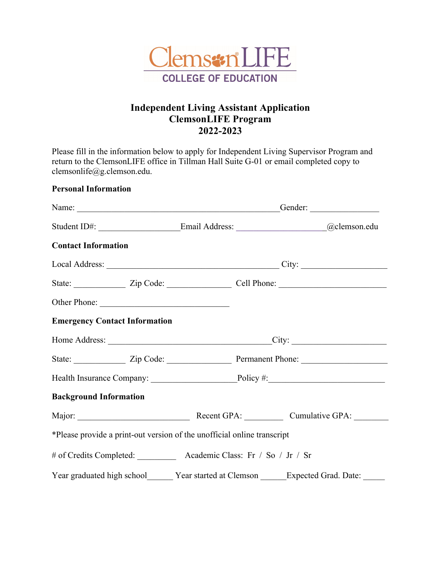

## **Independent Living Assistant Application ClemsonLIFE Program 2022-2023**

Please fill in the information below to apply for Independent Living Supervisor Program and return to the ClemsonLIFE office in Tillman Hall Suite G-01 or email completed copy to clemsonlife@g.clemson.edu.

| <b>Personal Information</b>                                                                                                                                                                                                    |  |  |                                                                                                                                                                                                                               |                                                                         |  |
|--------------------------------------------------------------------------------------------------------------------------------------------------------------------------------------------------------------------------------|--|--|-------------------------------------------------------------------------------------------------------------------------------------------------------------------------------------------------------------------------------|-------------------------------------------------------------------------|--|
|                                                                                                                                                                                                                                |  |  | Name: Conder: Conder: Conder: Conder: Conder: Conder: Conder: Conder: Conder: Conder: Conder: Conder: Conder: Conder: Conder: Conder: Conder: Conder: Conder: Conder: Conder: Conder: Conder: Conder: Conder: Conder: Conder: |                                                                         |  |
| Student ID#: Contract Contract Contract Contract Contract Contract Contract Contract Contract Contract Contract Contract Contract Contract Contract Contract Contract Contract Contract Contract Contract Contract Contract Co |  |  |                                                                                                                                                                                                                               |                                                                         |  |
| <b>Contact Information</b>                                                                                                                                                                                                     |  |  |                                                                                                                                                                                                                               |                                                                         |  |
|                                                                                                                                                                                                                                |  |  |                                                                                                                                                                                                                               |                                                                         |  |
|                                                                                                                                                                                                                                |  |  |                                                                                                                                                                                                                               | State: <u>Zip Code: Cell Phone:</u>                                     |  |
| Other Phone:                                                                                                                                                                                                                   |  |  |                                                                                                                                                                                                                               |                                                                         |  |
| <b>Emergency Contact Information</b>                                                                                                                                                                                           |  |  |                                                                                                                                                                                                                               |                                                                         |  |
|                                                                                                                                                                                                                                |  |  |                                                                                                                                                                                                                               |                                                                         |  |
|                                                                                                                                                                                                                                |  |  |                                                                                                                                                                                                                               | State: <u>Zip Code: Permanent Phone:</u>                                |  |
|                                                                                                                                                                                                                                |  |  |                                                                                                                                                                                                                               |                                                                         |  |
| <b>Background Information</b>                                                                                                                                                                                                  |  |  |                                                                                                                                                                                                                               |                                                                         |  |
|                                                                                                                                                                                                                                |  |  |                                                                                                                                                                                                                               |                                                                         |  |
| *Please provide a print-out version of the unofficial online transcript                                                                                                                                                        |  |  |                                                                                                                                                                                                                               |                                                                         |  |
| # of Credits Completed: Academic Class: Fr / So / Jr / Sr                                                                                                                                                                      |  |  |                                                                                                                                                                                                                               |                                                                         |  |
|                                                                                                                                                                                                                                |  |  |                                                                                                                                                                                                                               | Year graduated high school Year started at Clemson Expected Grad. Date: |  |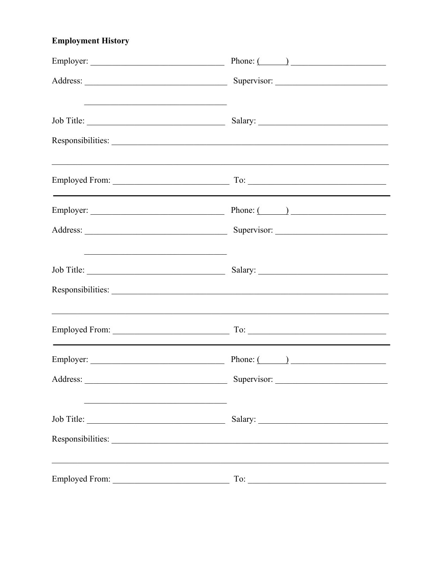# **Employment History**

|            | Phone: $\qquad \qquad$                                                                                                                                                                                                                                                                                                                                                                                               |
|------------|----------------------------------------------------------------------------------------------------------------------------------------------------------------------------------------------------------------------------------------------------------------------------------------------------------------------------------------------------------------------------------------------------------------------|
|            | Supervisor:                                                                                                                                                                                                                                                                                                                                                                                                          |
|            |                                                                                                                                                                                                                                                                                                                                                                                                                      |
|            |                                                                                                                                                                                                                                                                                                                                                                                                                      |
|            | ,我们也不能在这里的人,我们也不能在这里的人,我们也不能在这里的人,我们也不能在这里的人,我们也不能在这里的人,我们也不能在这里的人,我们也不能在这里的人,我们也                                                                                                                                                                                                                                                                                                                                    |
|            | Employer: $\qquad \qquad$ Phone: $\qquad \qquad$ Phone: $\qquad \qquad$                                                                                                                                                                                                                                                                                                                                              |
|            |                                                                                                                                                                                                                                                                                                                                                                                                                      |
| Job Title: |                                                                                                                                                                                                                                                                                                                                                                                                                      |
|            |                                                                                                                                                                                                                                                                                                                                                                                                                      |
|            | ,我们也不能在这里的人,我们也不能在这里的人,我们也不能在这里的人,我们也不能在这里的人,我们也不能在这里的人,我们也不能在这里的人,我们也不能在这里的人,我们也                                                                                                                                                                                                                                                                                                                                    |
|            | Employer: $\qquad \qquad$ Phone: $($                                                                                                                                                                                                                                                                                                                                                                                 |
|            | $\frac{1}{\sqrt{1-\frac{1}{2}}\sqrt{1-\frac{1}{2}}\sqrt{1-\frac{1}{2}}\sqrt{1-\frac{1}{2}}\sqrt{1-\frac{1}{2}}\sqrt{1-\frac{1}{2}}\sqrt{1-\frac{1}{2}}\sqrt{1-\frac{1}{2}}\sqrt{1-\frac{1}{2}}\sqrt{1-\frac{1}{2}}\sqrt{1-\frac{1}{2}}\sqrt{1-\frac{1}{2}}\sqrt{1-\frac{1}{2}}\sqrt{1-\frac{1}{2}}\sqrt{1-\frac{1}{2}}\sqrt{1-\frac{1}{2}}\sqrt{1-\frac{1}{2}}\sqrt{1-\frac{1}{2}}\sqrt{1-\frac{1}{2}}\sqrt{1-\frac$ |
|            |                                                                                                                                                                                                                                                                                                                                                                                                                      |
|            | Responsibilities:                                                                                                                                                                                                                                                                                                                                                                                                    |
|            |                                                                                                                                                                                                                                                                                                                                                                                                                      |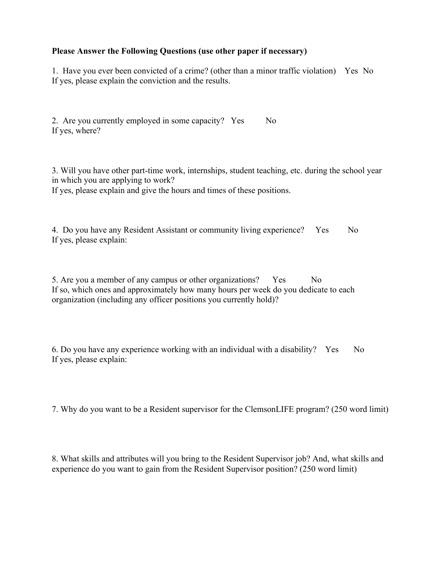#### **Please Answer the Following Questions (use other paper if necessary)**

1. Have you ever been convicted of a crime? (other than a minor traffic violation) Yes No If yes, please explain the conviction and the results.

2. Are you currently employed in some capacity? Yes No If yes, where?

3. Will you have other part-time work, internships, student teaching, etc. during the school year in which you are applying to work? If yes, please explain and give the hours and times of these positions.

4. Do you have any Resident Assistant or community living experience? Yes No If yes, please explain:

5. Are you a member of any campus or other organizations? Yes No If so, which ones and approximately how many hours per week do you dedicate to each organization (including any officer positions you currently hold)?

6. Do you have any experience working with an individual with a disability? Yes No If yes, please explain:

7. Why do you want to be a Resident supervisor for the ClemsonLIFE program? (250 word limit)

8. What skills and attributes will you bring to the Resident Supervisor job? And, what skills and experience do you want to gain from the Resident Supervisor position? (250 word limit)